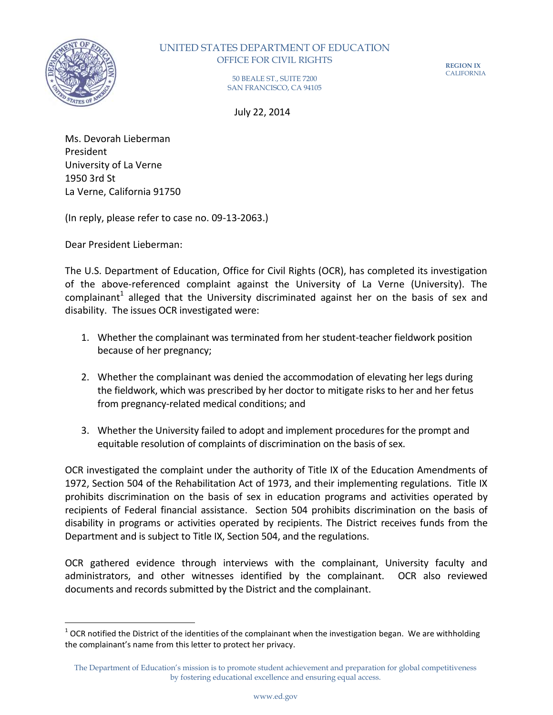

 $\overline{a}$ 

## OFFICE FOR CIVIL RIGHTS UNITED STATES DEPARTMENT OF EDUCATION

**REGION IX**  CALIFORNIA

 50 BEALE ST., SUITE 7200 SAN FRANCISCO, CA 94105

July 22, 2014

 Ms. Devorah Lieberman University of La Verne 1950 3rd St President La Verne, California 91750

(In reply, please refer to case no. 09-13-2063.)

Dear President Lieberman:

 of the above-referenced complaint against the University of La Verne (University). The complainant<sup>1</sup> alleged that the University discriminated against her on the basis of sex and disability. The issues OCR investigated were: The U.S. Department of Education, Office for Civil Rights (OCR), has completed its investigation

- 1. Whether the complainant was terminated from her student-teacher fieldwork position because of her pregnancy;
- 2. Whether the complainant was denied the accommodation of elevating her legs during the fieldwork, which was prescribed by her doctor to mitigate risks to her and her fetus from pregnancy-related medical conditions; and
- 3. Whether the University failed to adopt and implement procedures for the prompt and equitable resolution of complaints of discrimination on the basis of sex.

 OCR investigated the complaint under the authority of Title IX of the Education Amendments of 1972, Section 504 of the Rehabilitation Act of 1973, and their implementing regulations. Title IX prohibits discrimination on the basis of sex in education programs and activities operated by recipients of Federal financial assistance. Section 504 prohibits discrimination on the basis of disability in programs or activities operated by recipients. The District receives funds from the Department and is subject to Title IX, Section 504, and the regulations.

 OCR gathered evidence through interviews with the complainant, University faculty and administrators, and other witnesses identified by the complainant. OCR also reviewed documents and records submitted by the District and the complainant.

 the complainant's name from this letter to protect her privacy.  $1$  OCR notified the District of the identities of the complainant when the investigation began. We are withholding

 The Department of Education's mission is to promote student achievement and preparation for global competitiveness by fostering educational excellence and ensuring equal access.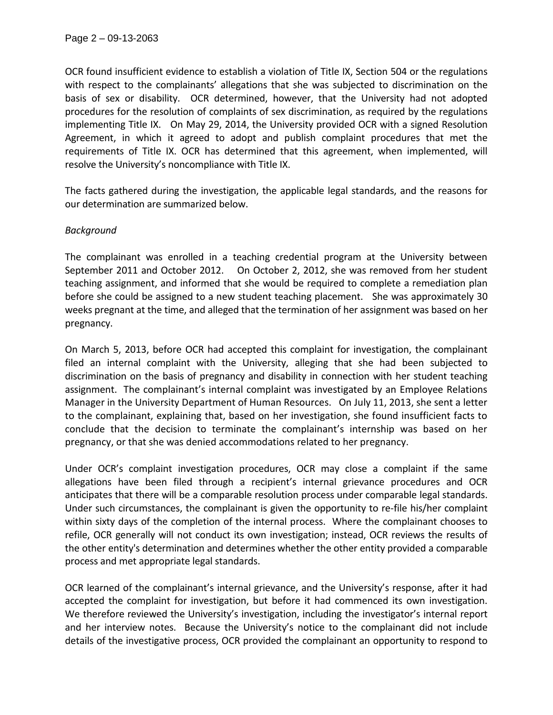OCR found insufficient evidence to establish a violation of Title IX, Section 504 or the regulations with respect to the complainants' allegations that she was subjected to discrimination on the basis of sex or disability. OCR determined, however, that the University had not adopted procedures for the resolution of complaints of sex discrimination, as required by the regulations implementing Title IX. On May 29, 2014, the University provided OCR with a signed Resolution Agreement, in which it agreed to adopt and publish complaint procedures that met the requirements of Title IX. OCR has determined that this agreement, when implemented, will resolve the University's noncompliance with Title IX.

 The facts gathered during the investigation, the applicable legal standards, and the reasons for our determination are summarized below.

## *Background*

 The complainant was enrolled in a teaching credential program at the University between September 2011 and October 2012. On October 2, 2012, she was removed from her student teaching assignment, and informed that she would be required to complete a remediation plan before she could be assigned to a new student teaching placement. She was approximately 30 weeks pregnant at the time, and alleged that the termination of her assignment was based on her pregnancy.

 On March 5, 2013, before OCR had accepted this complaint for investigation, the complainant filed an internal complaint with the University, alleging that she had been subjected to discrimination on the basis of pregnancy and disability in connection with her student teaching assignment. The complainant's internal complaint was investigated by an Employee Relations Manager in the University Department of Human Resources. On July 11, 2013, she sent a letter to the complainant, explaining that, based on her investigation, she found insufficient facts to conclude that the decision to terminate the complainant's internship was based on her pregnancy, or that she was denied accommodations related to her pregnancy.

 Under OCR's complaint investigation procedures, OCR may close a complaint if the same allegations have been filed through a recipient's internal grievance procedures and OCR anticipates that there will be a comparable resolution process under comparable legal standards. Under such circumstances, the complainant is given the opportunity to re-file his/her complaint within sixty days of the completion of the internal process. Where the complainant chooses to refile, OCR generally will not conduct its own investigation; instead, OCR reviews the results of the other entity's determination and determines whether the other entity provided a comparable process and met appropriate legal standards.

 OCR learned of the complainant's internal grievance, and the University's response, after it had accepted the complaint for investigation, but before it had commenced its own investigation. We therefore reviewed the University's investigation, including the investigator's internal report and her interview notes. Because the University's notice to the complainant did not include details of the investigative process, OCR provided the complainant an opportunity to respond to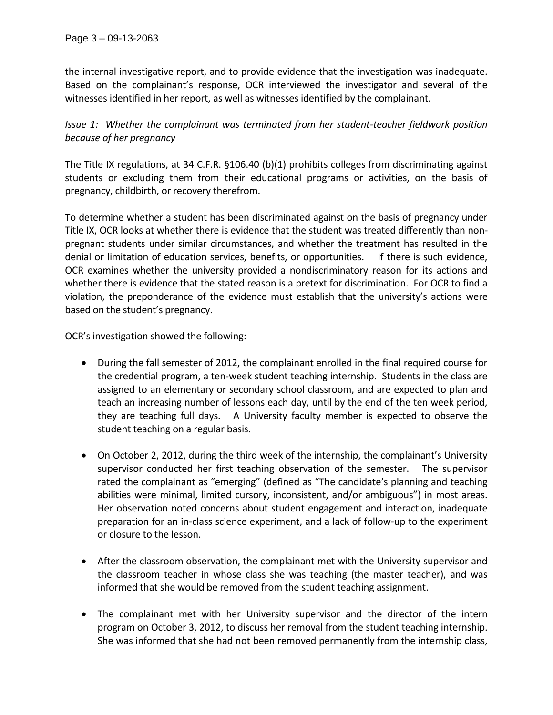the internal investigative report, and to provide evidence that the investigation was inadequate. Based on the complainant's response, OCR interviewed the investigator and several of the witnesses identified in her report, as well as witnesses identified by the complainant.

 *Issue 1: Whether the complainant was terminated from her student-teacher fieldwork position because of her pregnancy* 

 The Title IX regulations, at 34 C.F.R. §106.40 (b)(1) prohibits colleges from discriminating against students or excluding them from their educational programs or activities, on the basis of pregnancy, childbirth, or recovery therefrom.

 To determine whether a student has been discriminated against on the basis of pregnancy under Title IX, OCR looks at whether there is evidence that the student was treated differently than non- pregnant students under similar circumstances, and whether the treatment has resulted in the denial or limitation of education services, benefits, or opportunities. If there is such evidence, OCR examines whether the university provided a nondiscriminatory reason for its actions and whether there is evidence that the stated reason is a pretext for discrimination. For OCR to find a violation, the preponderance of the evidence must establish that the university's actions were based on the student's pregnancy;

OCR's investigation showed the following:

- During the fall semester of 2012, the complainant enrolled in the final required course for the credential program, a ten-week student teaching internship. Students in the class are assigned to an elementary or secondary school classroom, and are expected to plan and teach an increasing number of lessons each day, until by the end of the ten week period, they are teaching full days. A University faculty member is expected to observe the student teaching on a regular basis.
- On October 2, 2012, during the third week of the internship, the complainant's University supervisor conducted her first teaching observation of the semester. The supervisor rated the complainant as "emerging" (defined as "The candidate's planning and teaching abilities were minimal, limited cursory, inconsistent, and/or ambiguous") in most areas. Her observation noted concerns about student engagement and interaction, inadequate preparation for an in-class science experiment, and a lack of follow-up to the experiment or closure to the lesson.
- After the classroom observation, the complainant met with the University supervisor and the classroom teacher in whose class she was teaching (the master teacher), and was informed that she would be removed from the student teaching assignment.
- The complainant met with her University supervisor and the director of the intern program on October 3, 2012, to discuss her removal from the student teaching internship. She was informed that she had not been removed permanently from the internship class,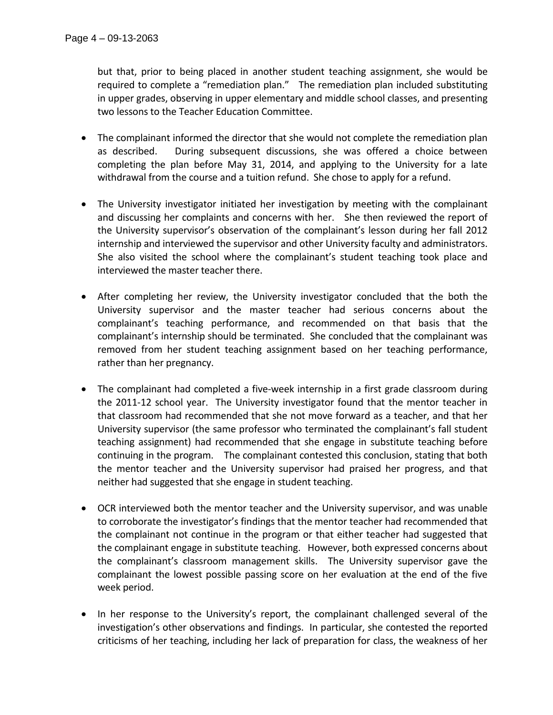but that, prior to being placed in another student teaching assignment, she would be required to complete a "remediation plan." The remediation plan included substituting in upper grades, observing in upper elementary and middle school classes, and presenting two lessons to the Teacher Education Committee.

- The complainant informed the director that she would not complete the remediation plan as described. completing the plan before May 31, 2014, and applying to the University for a late withdrawal from the course and a tuition refund. She chose to apply for a refund. During subsequent discussions, she was offered a choice between
- The University investigator initiated her investigation by meeting with the complainant and discussing her complaints and concerns with her. She then reviewed the report of the University supervisor's observation of the complainant's lesson during her fall 2012 internship and interviewed the supervisor and other University faculty and administrators. She also visited the school where the complainant's student teaching took place and interviewed the master teacher there.
- After completing her review, the University investigator concluded that the both the University supervisor and the master teacher had serious concerns about the complainant's teaching performance, and recommended on that basis that the complainant's internship should be terminated; She concluded that the complainant was removed from her student teaching assignment based on her teaching performance, rather than her pregnancy.
- The complainant had completed a five-week internship in a first grade classroom during the 2011-12 school year. The University investigator found that the mentor teacher in that classroom had recommended that she not move forward as a teacher, and that her University supervisor (the same professor who terminated the complainant's fall student teaching assignment) had recommended that she engage in substitute teaching before continuing in the program. The complainant contested this conclusion, stating that both the mentor teacher and the University supervisor had praised her progress, and that neither had suggested that she engage in student teaching.
- OCR interviewed both the mentor teacher and the University supervisor, and was unable to corroborate the investigator's findings that the mentor teacher had recommended that the complainant not continue in the program or that either teacher had suggested that the complainant engage in substitute teaching. However, both expressed concerns about the complainant's classroom management skills. The University supervisor gave the complainant the lowest possible passing score on her evaluation at the end of the five week period.
- In her response to the University's report, the complainant challenged several of the investigation's other observations and findings. In particular, she contested the reported criticisms of her teaching, including her lack of preparation for class, the weakness of her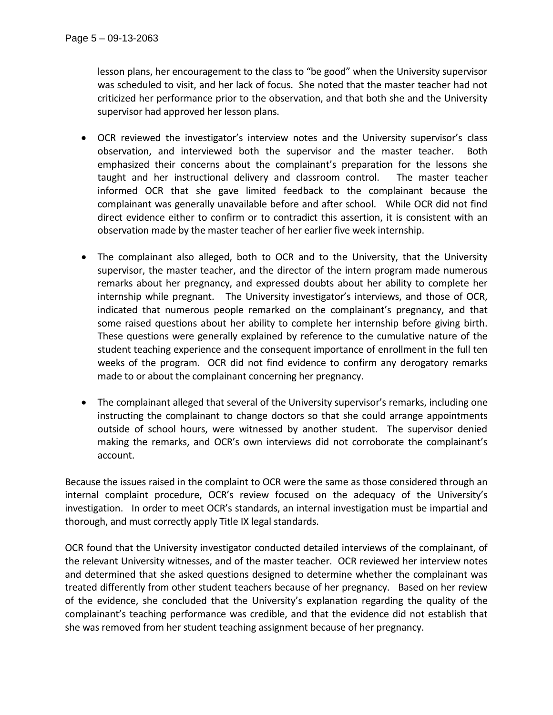lesson plans, her encouragement to the class to "be good" when the University supervisor was scheduled to visit, and her lack of focus. She noted that the master teacher had not criticized her performance prior to the observation, and that both she and the University supervisor had approved her lesson plans.

- OCR reviewed the investigator's interview notes and the University supervisor's class observation, and interviewed both the supervisor and the master teacher. Both emphasized their concerns about the complainant's preparation for the lessons she taught and her instructional delivery and classroom control. The master teacher informed OCR that she gave limited feedback to the complainant because the complainant was generally unavailable before and after school. While OCR did not find direct evidence either to confirm or to contradict this assertion, it is consistent with an observation made by the master teacher of her earlier five week internship.
- The complainant also alleged, both to OCR and to the University, that the University supervisor, the master teacher, and the director of the intern program made numerous remarks about her pregnancy, and expressed doubts about her ability to complete her internship while pregnant. The University investigator's interviews, and those of OCR, indicated that numerous people remarked on the complainant's pregnancy, and that some raised questions about her ability to complete her internship before giving birth. These questions were generally explained by reference to the cumulative nature of the student teaching experience and the consequent importance of enrollment in the full ten weeks of the program. OCR did not find evidence to confirm any derogatory remarks made to or about the complainant concerning her pregnancy.
- The complainant alleged that several of the University supervisor's remarks, including one instructing the complainant to change doctors so that she could arrange appointments outside of school hours, were witnessed by another student. The supervisor denied making the remarks, and OCR's own interviews did not corroborate the complainant's account.

account.<br>Because the issues raised in the complaint to OCR were the same as those considered through an internal complaint procedure, OCR's review focused on the adequacy of the University's investigation. In order to meet OCR's standards, an internal investigation must be impartial and thorough, and must correctly apply Title IX legal standards.

 OCR found that the University investigator conducted detailed interviews of the complainant, of the relevant University witnesses, and of the master teacher. OCR reviewed her interview notes and determined that she asked questions designed to determine whether the complainant was treated differently from other student teachers because of her pregnancy. Based on her review of the evidence, she concluded that the University's explanation regarding the quality of the complainant's teaching performance was credible, and that the evidence did not establish that she was removed from her student teaching assignment because of her pregnancy.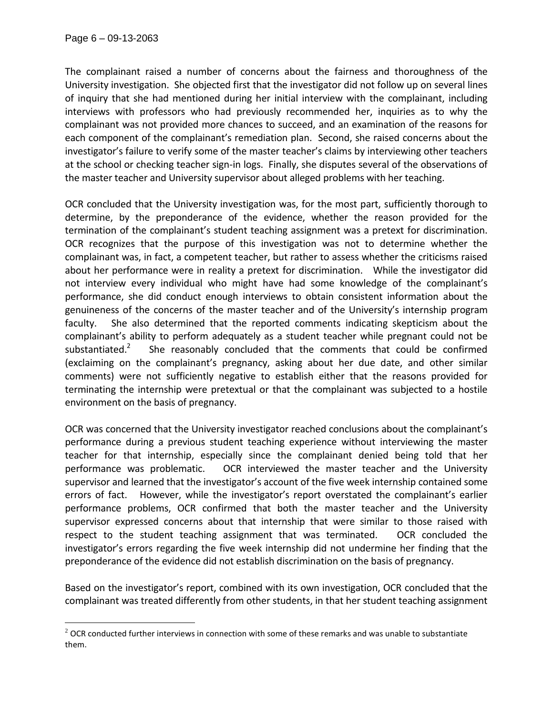$\overline{a}$ 

 The complainant raised a number of concerns about the fairness and thoroughness of the University investigation. She objected first that the investigator did not follow up on several lines of inquiry that she had mentioned during her initial interview with the complainant, including interviews with professors who had previously recommended her, inquiries as to why the complainant was not provided more chances to succeed, and an examination of the reasons for each component of the complainant's remediation plan; Second, she raised concerns about the investigator's failure to verify some of the master teacher's claims by interviewing other teachers at the school or checking teacher sign-in logs. Finally, she disputes several of the observations of the master teacher and University supervisor about alleged problems with her teaching.

 OCR concluded that the University investigation was, for the most part, sufficiently thorough to determine, by the preponderance of the evidence, whether the reason provided for the termination of the complainant's student teaching assignment was a pretext for discrimination. OCR recognizes that the purpose of this investigation was not to determine whether the complainant was, in fact, a competent teacher, but rather to assess whether the criticisms raised about her performance were in reality a pretext for discrimination. While the investigator did not interview every individual who might have had some knowledge of the complainant's performance, she did conduct enough interviews to obtain consistent information about the genuineness of the concerns of the master teacher and of the University's internship program faculty. complainant's ability to perform adequately as a student teacher while pregnant could not be substantiated.<sup>2</sup> (exclaiming on the complainant's pregnancy, asking about her due date, and other similar comments) were not sufficiently negative to establish either that the reasons provided for terminating the internship were pretextual or that the complainant was subjected to a hostile environment on the basis of pregnancy. She also determined that the reported comments indicating skepticism about the She reasonably concluded that the comments that could be confirmed

 OCR was concerned that the University investigator reached conclusions about the complainant's performance during a previous student teaching experience without interviewing the master teacher for that internship, especially since the complainant denied being told that her performance was problematic. supervisor and learned that the investigator's account of the five week internship contained some errors of fact. However, while the investigator's report overstated the complainant's earlier performance problems, OCR confirmed that both the master teacher and the University supervisor expressed concerns about that internship that were similar to those raised with respect to the student teaching assignment that was terminated. OCR concluded the investigator's errors regarding the five week internship did not undermine her finding that the preponderance of the evidence did not establish discrimination on the basis of pregnancy. OCR interviewed the master teacher and the University

 Based on the investigator's report, combined with its own investigation, OCR concluded that the complainant was treated differently from other students, in that her student teaching assignment

 $2$  OCR conducted further interviews in connection with some of these remarks and was unable to substantiate them.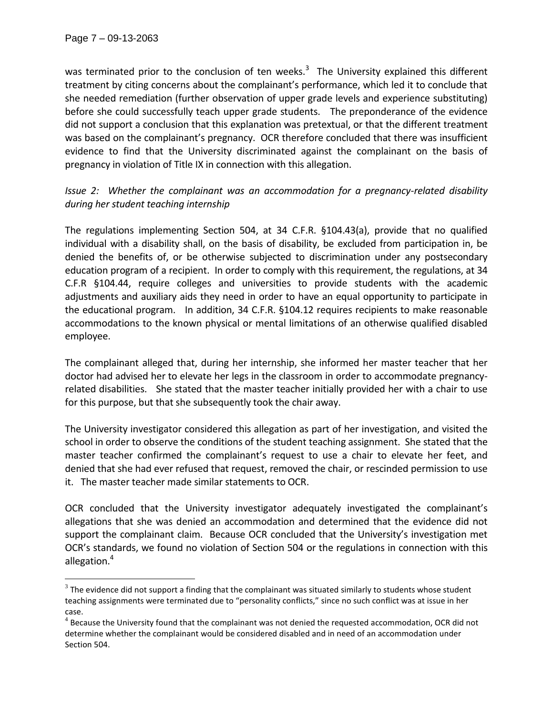$\overline{a}$ 

was terminated prior to the conclusion of ten weeks.<sup>3</sup> The University explained this different treatment by citing concerns about the complainant's performance, which led it to conclude that she needed remediation (further observation of upper grade levels and experience substituting) before she could successfully teach upper grade students. The preponderance of the evidence did not support a conclusion that this explanation was pretextual, or that the different treatment was based on the complainant's pregnancy; OCR therefore concluded that there was insufficient evidence to find that the University discriminated against the complainant on the basis of pregnancy in violation of Title IX in connection with this allegation.

 *Issue 2: Whether the complainant was an accommodation for a pregnancy-related disability during her student teaching internship* 

 The regulations implementing Section 504, at 34 C.F.R. §104.43(a), provide that no qualified individual with a disability shall, on the basis of disability, be excluded from participation in, be denied the benefits of, or be otherwise subjected to discrimination under any postsecondary education program of a recipient. In order to comply with this requirement, the regulations, at 34 C.F.R §104.44, require colleges and universities to provide students with the academic adjustments and auxiliary aids they need in order to have an equal opportunity to participate in the educational program. In addition, 34 C.F.R. §104.12 requires recipients to make reasonable accommodations to the known physical or mental limitations of an otherwise qualified disabled employee.

 The complainant alleged that, during her internship, she informed her master teacher that her doctor had advised her to elevate her legs in the classroom in order to accommodate pregnancy- related disabilities. She stated that the master teacher initially provided her with a chair to use for this purpose, but that she subsequently took the chair away.

 The University investigator considered this allegation as part of her investigation, and visited the school in order to observe the conditions of the student teaching assignment. She stated that the master teacher confirmed the complainant's request to use a chair to elevate her feet, and denied that she had ever refused that request, removed the chair, or rescinded permission to use it. The master teacher made similar statements to OCR.

 OCR concluded that the University investigator adequately investigated the complainant's allegations that she was denied an accommodation and determined that the evidence did not support the complainant claim. Because OCR concluded that the University's investigation met OCR's standards, we found no violation of Section 504 or the regulations in connection with this allegation.<sup>4</sup>

 $3$  The evidence did not support a finding that the complainant was situated similarly to students whose student teaching assignments were terminated due to "personality conflicts," since no such conflict was at issue in her case.

 $4$  Because the University found that the complainant was not denied the requested accommodation, OCR did not determine whether the complainant would be considered disabled and in need of an accommodation under Section 504.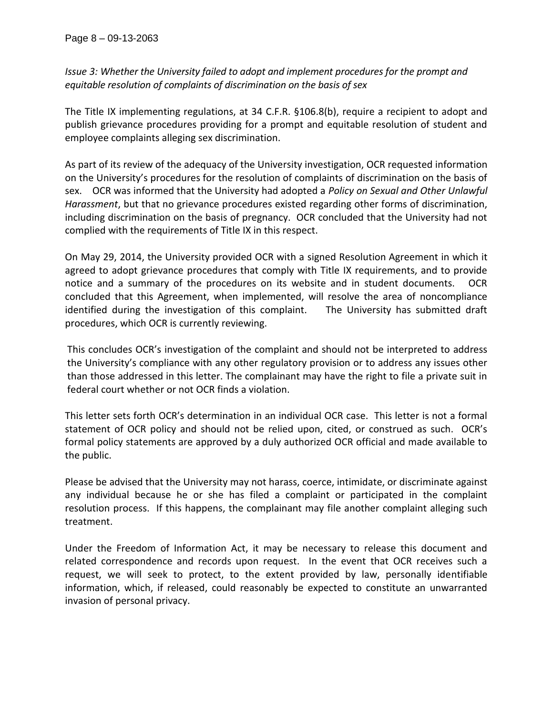*Issue 3: Whether the University failed to adopt and implement procedures for the prompt and equitable resolution of complaints of discrimination on the basis of sex* 

 The Title IX implementing regulations, at 34 C.F.R. §106.8(b), require a recipient to adopt and publish grievance procedures providing for a prompt and equitable resolution of student and employee complaints alleging sex discrimination.

 As part of its review of the adequacy of the University investigation, OCR requested information on the University's procedures for the resolution of complaints of discrimination on the basis of sex. OCR was informed that the University had adopted a *Policy on Sexual and Other Unlawful Harassment*, but that no grievance procedures existed regarding other forms of discrimination, including discrimination on the basis of pregnancy. OCR concluded that the University had not complied with the requirements of Title IX in this respect.

 On May 29, 2014, the University provided OCR with a signed Resolution Agreement in which it agreed to adopt grievance procedures that comply with Title IX requirements, and to provide notice and a summary of the procedures on its website and in student documents. OCR concluded that this Agreement, when implemented, will resolve the area of noncompliance identified during the investigation of this complaint. The University has submitted draft procedures, which OCR is currently reviewing.

 This concludes OCR's investigation of the complaint and should not be interpreted to address the University's compliance with any other regulatory provision or to address any issues other than those addressed in this letter. The complainant may have the right to file a private suit in federal court whether or not OCR finds a violation.

 This letter sets forth OCR's determination in an individual OCR case; This letter is not a formal statement of OCR policy and should not be relied upon, cited, or construed as such. OCR's formal policy statements are approved by a duly authorized OCR official and made available to the public.

 Please be advised that the University may not harass, coerce, intimidate, or discriminate against any individual because he or she has filed a complaint or participated in the complaint resolution process. If this happens, the complainant may file another complaint alleging such treatment.

 Under the Freedom of Information Act, it may be necessary to release this document and related correspondence and records upon request. In the event that OCR receives such a request, we will seek to protect, to the extent provided by law, personally identifiable information, which, if released, could reasonably be expected to constitute an unwarranted invasion of personal privacy.